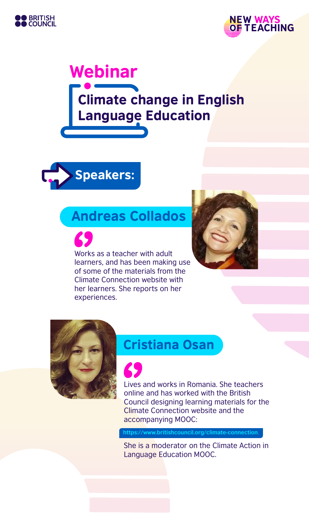



# Climate change in English Language Education Webinar



# Andreas Collados

Works as a teacher with adult learners, and has been making use of some of the materials from the Climate Connection website with her learners. She reports on her experiences.





# Cristiana Osan

Lives and works in Romania. She teachers online and has worked with the British Council designing learning materials for the Climate Connection website and the accompanying MOOC:

**https://www.britishcouncil.org/climate-connection**.

She is a moderator on the Climate Action in Language Education MOOC.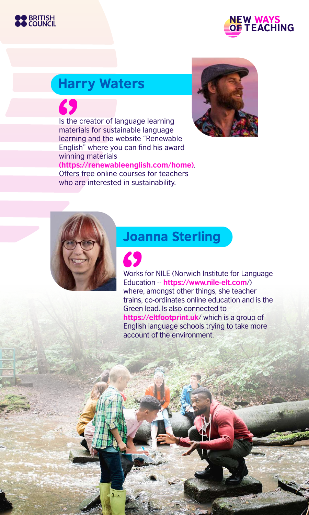



# Harry Waters

Is the creator of language learning Offers free online courses for teachers



materials for sustainable language learning and the website "Renewable English" where you can find his award winning materials **(https://renewableenglish.com/home)**.

who are interested in sustainability.

## Joanna Sterling

Works for NILE (Norwich Institute for Language Education -- **https://www.nile-elt.com**/) where, amongst other things, she teacher trains, co-ordinates online education and is the Green lead. Is also connected to **https://eltfootprint.uk**/ which is a group of English language schools trying to take more account of the environment.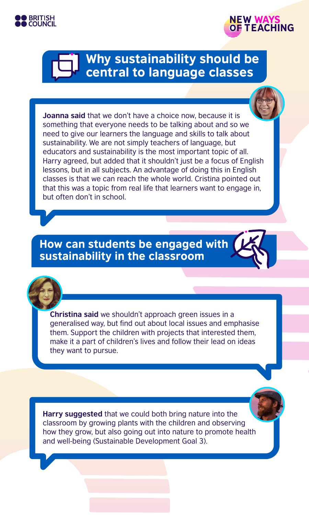



# Why sustainability should be central to language classes

**Joanna said** that we don't have a choice now, because it is something that everyone needs to be talking about and so we need to give our learners the language and skills to talk about sustainability. We are not simply teachers of language, but educators and sustainability is the most important topic of all. Harry agreed, but added that it shouldn't just be a focus of English lessons, but in all subjects. An advantage of doing this in English classes is that we can reach the whole world. Cristina pointed out that this was a topic from real life that learners want to engage in, but often don't in school.

How can students be engaged with sustainability in the classroom

**Christina said** we shouldn't approach green issues in a generalised way, but find out about local issues and emphasise them. Support the children with projects that interested them, make it a part of children's lives and follow their lead on ideas they want to pursue.

**Harry suggested** that we could both bring nature into the classroom by growing plants with the children and observing how they grow, but also going out into nature to promote health and well-being (Sustainable Development Goal 3).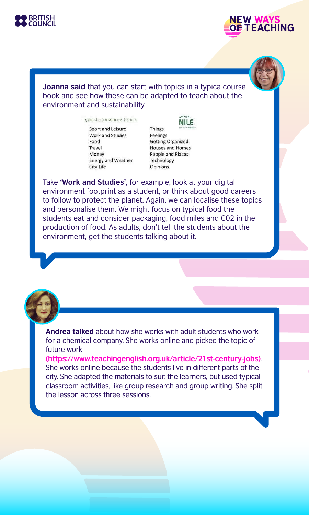



#### **Joanna said** that you can start with topics in a typica course book and see how these can be adapted to teach about the environment and sustainability.

Typical coursebook topics

Sport and Leisure **Work and Studies** Food Travel Money **Energy and Weather** City Life

**NILE** Things Feelings **Getting Organized** Houses and Homes People and Places Technology Opinions

Take **'Work and Studies'**, for example, look at your digital environment footprint as a student, or think about good careers to follow to protect the planet. Again, we can localise these topics and personalise them. We might focus on typical food the students eat and consider packaging, food miles and C02 in the production of food. As adults, don't tell the students about the environment, get the students talking about it.



**Andrea talked** about how she works with adult students who work for a chemical company. She works online and picked the topic of future work

**(https://www.teachingenglish.org.uk/article/21st-century-jobs)**. She works online because the students live in different parts of the city. She adapted the materials to suit the learners, but used typical classroom activities, like group research and group writing. She split the lesson across three sessions.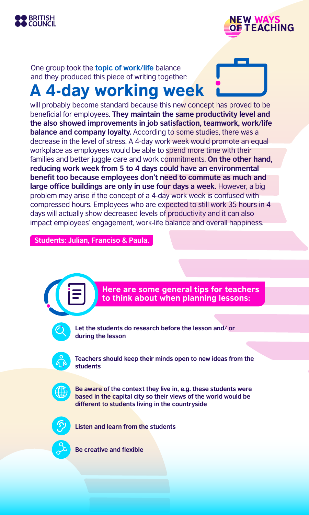



One group took the **topic of work/life** balance and they produced this piece of writing together:

# A 4-day working week

will probably become standard because this new concept has proved to be beneficial for employees. **They maintain the same productivity level and the also showed improvements in job satisfaction, teamwork, work/life balance and company loyalty.** According to some studies, there was a decrease in the level of stress. A 4-day work week would promote an equal workplace as employees would be able to spend more time with their families and better juggle care and work commitments. **On the other hand, reducing work week from 5 to 4 days could have an environmental benefit too because employees don't need to commute as much and large office buildings are only in use four days a week.** However, a big problem may arise if the concept of a 4-day work week is confused with compressed hours. Employees who are expected to still work 35 hours in 4 days will actually show decreased levels of productivity and it can also impact employees' engagement, work-life balance and overall happiness.

**Students: Julian, Franciso & Paula.**



Here are some general tips for teachers to think about when planning lessons:



**Let the students do research before the lesson and/ or during the lesson**



**Teachers should keep their minds open to new ideas from the students**



**Be aware of the context they live in, e.g. these students were based in the capital city so their views of the world would be different to students living in the countryside**



**Listen and learn from the students**



**Be creative and flexible**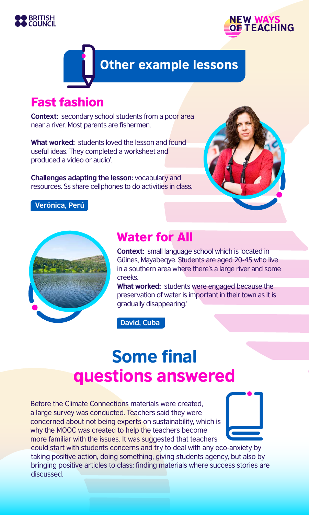



# Other example lessons

## Fast fashion

**Context:** secondary school students from a poor area near a river. Most parents are fishermen.

**What worked:** students loved the lesson and found useful ideas. They completed a worksheet and produced a video or audio'.

**Challenges adapting the lesson:** vocabulary and resources. Ss share cellphones to do activities in class.



#### **Verónica, Perú**



### Water for All

**Context:** small language school which is located in Güines, Mayabeqye. Students are aged 20-45 who live in a southern area where there's a large river and some creeks.

**What worked:** students were engaged because the preservation of water is important in their town as it is gradually disappearing.'

**David, Cuba**

# **Some final** questions answered

Before the Climate Connections materials were created, a large survey was conducted. Teachers said they were concerned about not being experts on sustainability, which is why the MOOC was created to help the teachers become more familiar with the issues. It was suggested that teachers



could start with students concerns and try to deal with any eco-anxiety by taking positive action, doing something, giving students agency, but also by bringing positive articles to class; finding materials where success stories are discussed.